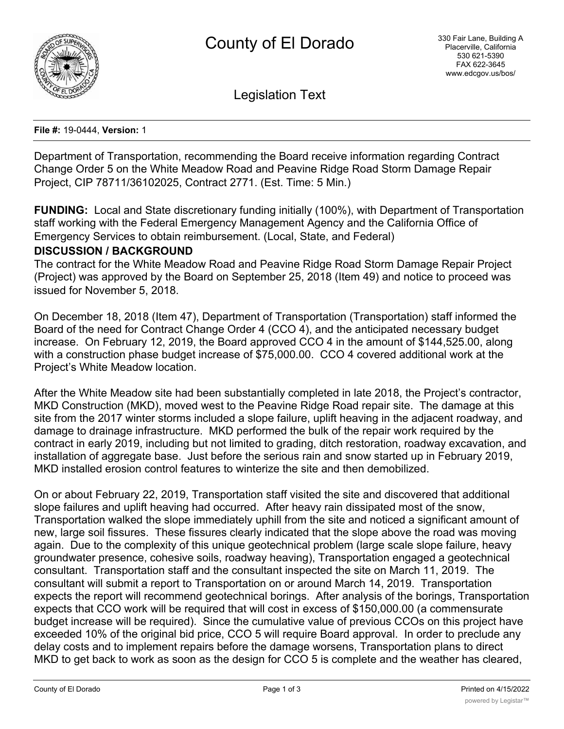

Legislation Text

#### **File #:** 19-0444, **Version:** 1

Department of Transportation, recommending the Board receive information regarding Contract Change Order 5 on the White Meadow Road and Peavine Ridge Road Storm Damage Repair Project, CIP 78711/36102025, Contract 2771. (Est. Time: 5 Min.)

**FUNDING:** Local and State discretionary funding initially (100%), with Department of Transportation staff working with the Federal Emergency Management Agency and the California Office of Emergency Services to obtain reimbursement. (Local, State, and Federal)

## **DISCUSSION / BACKGROUND**

The contract for the White Meadow Road and Peavine Ridge Road Storm Damage Repair Project (Project) was approved by the Board on September 25, 2018 (Item 49) and notice to proceed was issued for November 5, 2018.

On December 18, 2018 (Item 47), Department of Transportation (Transportation) staff informed the Board of the need for Contract Change Order 4 (CCO 4), and the anticipated necessary budget increase. On February 12, 2019, the Board approved CCO 4 in the amount of \$144,525.00, along with a construction phase budget increase of \$75,000.00. CCO 4 covered additional work at the Project's White Meadow location.

After the White Meadow site had been substantially completed in late 2018, the Project's contractor, MKD Construction (MKD), moved west to the Peavine Ridge Road repair site. The damage at this site from the 2017 winter storms included a slope failure, uplift heaving in the adjacent roadway, and damage to drainage infrastructure. MKD performed the bulk of the repair work required by the contract in early 2019, including but not limited to grading, ditch restoration, roadway excavation, and installation of aggregate base. Just before the serious rain and snow started up in February 2019, MKD installed erosion control features to winterize the site and then demobilized.

On or about February 22, 2019, Transportation staff visited the site and discovered that additional slope failures and uplift heaving had occurred. After heavy rain dissipated most of the snow, Transportation walked the slope immediately uphill from the site and noticed a significant amount of new, large soil fissures. These fissures clearly indicated that the slope above the road was moving again. Due to the complexity of this unique geotechnical problem (large scale slope failure, heavy groundwater presence, cohesive soils, roadway heaving), Transportation engaged a geotechnical consultant. Transportation staff and the consultant inspected the site on March 11, 2019. The consultant will submit a report to Transportation on or around March 14, 2019. Transportation expects the report will recommend geotechnical borings. After analysis of the borings, Transportation expects that CCO work will be required that will cost in excess of \$150,000.00 (a commensurate budget increase will be required). Since the cumulative value of previous CCOs on this project have exceeded 10% of the original bid price, CCO 5 will require Board approval. In order to preclude any delay costs and to implement repairs before the damage worsens, Transportation plans to direct MKD to get back to work as soon as the design for CCO 5 is complete and the weather has cleared,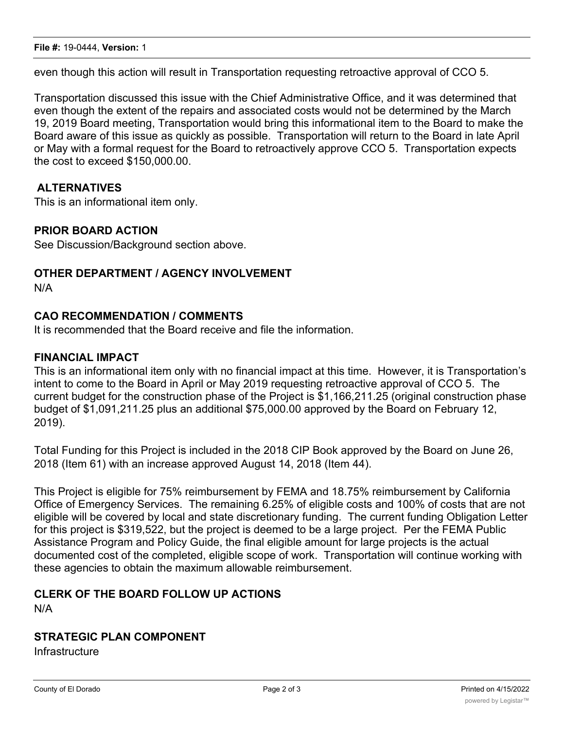even though this action will result in Transportation requesting retroactive approval of CCO 5.

Transportation discussed this issue with the Chief Administrative Office, and it was determined that even though the extent of the repairs and associated costs would not be determined by the March 19, 2019 Board meeting, Transportation would bring this informational item to the Board to make the Board aware of this issue as quickly as possible. Transportation will return to the Board in late April or May with a formal request for the Board to retroactively approve CCO 5. Transportation expects the cost to exceed \$150,000.00.

## **ALTERNATIVES**

This is an informational item only.

## **PRIOR BOARD ACTION**

See Discussion/Background section above.

## **OTHER DEPARTMENT / AGENCY INVOLVEMENT**

N/A

# **CAO RECOMMENDATION / COMMENTS**

It is recommended that the Board receive and file the information.

## **FINANCIAL IMPACT**

This is an informational item only with no financial impact at this time. However, it is Transportation's intent to come to the Board in April or May 2019 requesting retroactive approval of CCO 5. The current budget for the construction phase of the Project is \$1,166,211.25 (original construction phase budget of \$1,091,211.25 plus an additional \$75,000.00 approved by the Board on February 12, 2019).

Total Funding for this Project is included in the 2018 CIP Book approved by the Board on June 26, 2018 (Item 61) with an increase approved August 14, 2018 (Item 44).

This Project is eligible for 75% reimbursement by FEMA and 18.75% reimbursement by California Office of Emergency Services. The remaining 6.25% of eligible costs and 100% of costs that are not eligible will be covered by local and state discretionary funding. The current funding Obligation Letter for this project is \$319,522, but the project is deemed to be a large project. Per the FEMA Public Assistance Program and Policy Guide, the final eligible amount for large projects is the actual documented cost of the completed, eligible scope of work. Transportation will continue working with these agencies to obtain the maximum allowable reimbursement.

### **CLERK OF THE BOARD FOLLOW UP ACTIONS** N/A

## **STRATEGIC PLAN COMPONENT**

**Infrastructure**